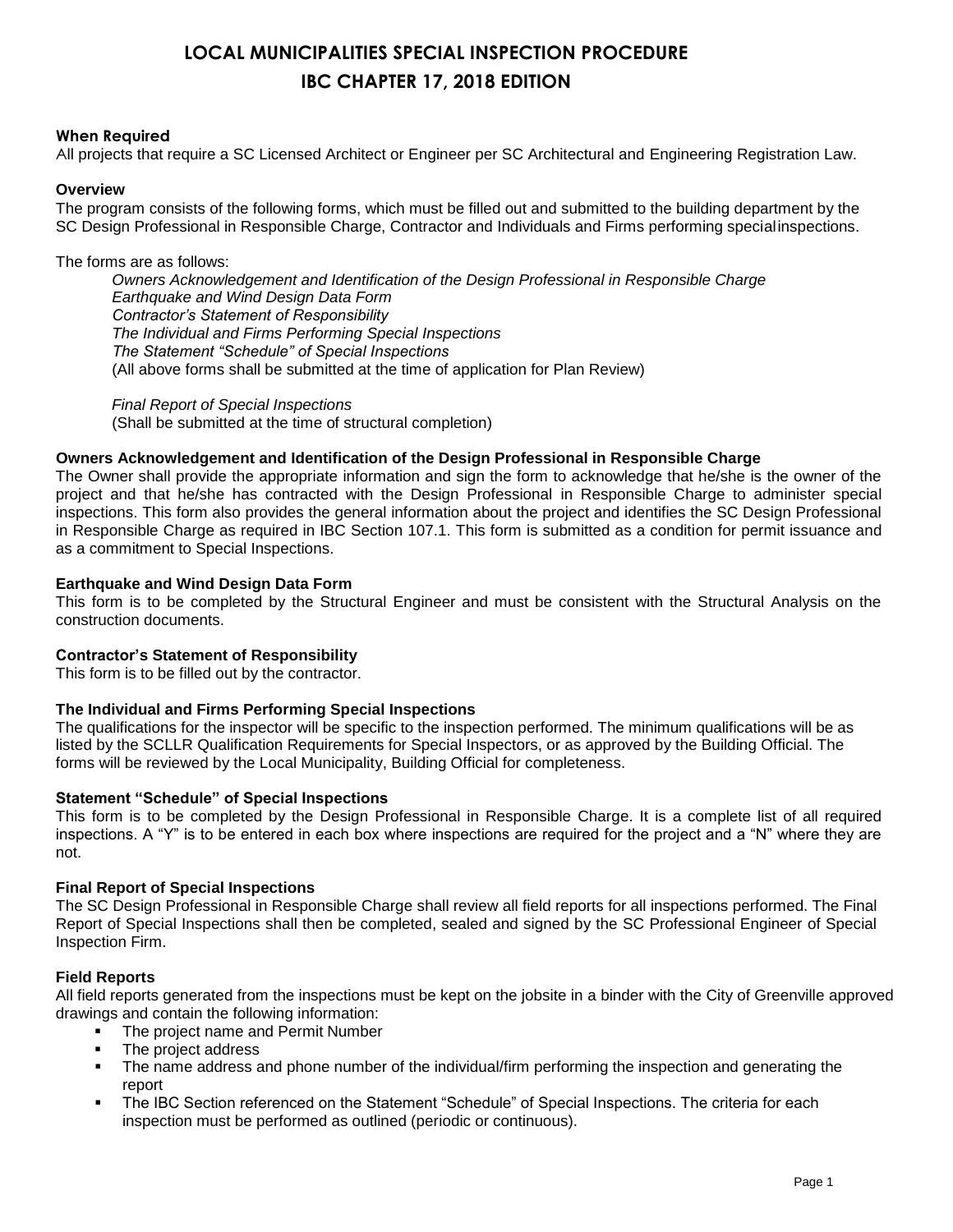## **LOCAL MUNICIPALITIES SPECIAL INSPECTION PROCEDURE IBC CHAPTER 17, 2018 EDITION**

#### **When Required**

All projects that require a SC Licensed Architect or Engineer per SC Architectural and Engineering Registration Law.

#### **Overview**

The program consists of the following forms, which must be filled out and submitted to the building department by the SC Design Professional in Responsible Charge, Contractor and Individuals and Firms performing specialinspections.

#### The forms are as follows:

*Owners Acknowledgement and Identification of the Design Professional in Responsible Charge Earthquake and Wind Design Data Form Contractor's Statement of Responsibility The Individual and Firms Performing Special Inspections The Statement "Schedule" of Special Inspections* (All above forms shall be submitted at the time of application for Plan Review)

*Final Report of Special Inspections* (Shall be submitted at the time of structural completion)

#### **Owners Acknowledgement and Identification of the Design Professional in Responsible Charge**

The Owner shall provide the appropriate information and sign the form to acknowledge that he/she is the owner of the project and that he/she has contracted with the Design Professional in Responsible Charge to administer special inspections. This form also provides the general information about the project and identifies the SC Design Professional in Responsible Charge as required in IBC Section 107.1. This form is submitted as a condition for permit issuance and as a commitment to Special Inspections.

#### **Earthquake and Wind Design Data Form**

This form is to be completed by the Structural Engineer and must be consistent with the Structural Analysis on the construction documents.

#### **Contractor's Statement of Responsibility**

This form is to be filled out by the contractor.

#### **The Individual and Firms Performing Special Inspections**

The qualifications for the inspector will be specific to the inspection performed. The minimum qualifications will be as listed by the SCLLR Qualification Requirements for Special Inspectors, or as approved by the Building Official. The forms will be reviewed by the Local Municipality, Building Official for completeness.

#### **Statement "Schedule" of Special Inspections**

This form is to be completed by the Design Professional in Responsible Charge. It is a complete list of all required inspections. A "Y" is to be entered in each box where inspections are required for the project and a "N" where they are not.

#### **Final Report of Special Inspections**

The SC Design Professional in Responsible Charge shall review all field reports for all inspections performed. The Final Report of Special Inspections shall then be completed, sealed and signed by the SC Professional Engineer of Special Inspection Firm.

#### **Field Reports**

All field reports generated from the inspections must be kept on the jobsite in a binder with the City of Greenville approved drawings and contain the following information:

- **The project name and Permit Number**
- The project address
- The name address and phone number of the individual/firm performing the inspection and generating the report
- The IBC Section referenced on the Statement "Schedule" of Special Inspections. The criteria for each inspection must be performed as outlined (periodic or continuous).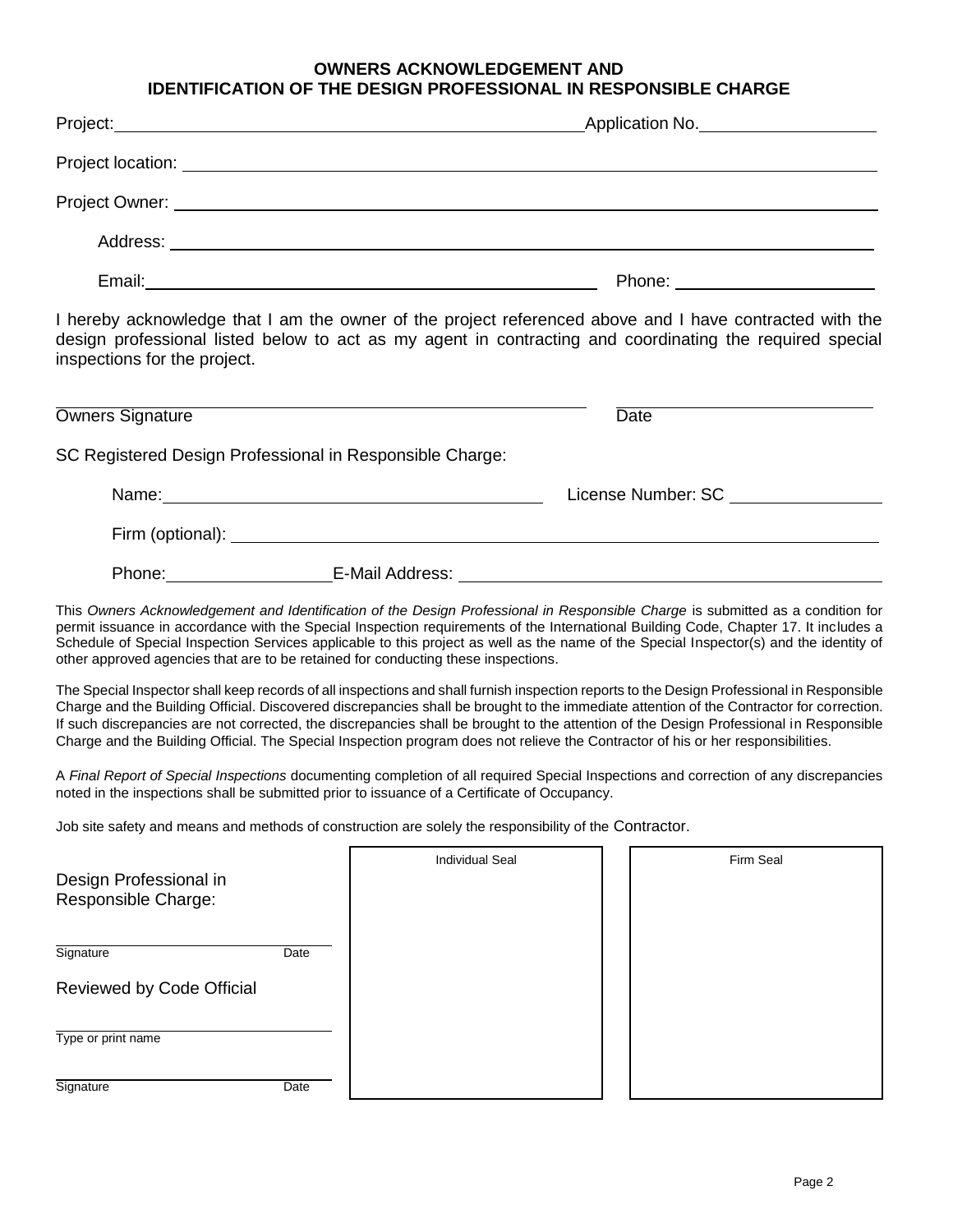### **OWNERS ACKNOWLEDGEMENT AND IDENTIFICATION OF THE DESIGN PROFESSIONAL IN RESPONSIBLE CHARGE**

| Project: <u>December 2008</u>                                                                                                                                                                                                                                                                                                                                                                                                                                                                                                                                        |                                                                                                                 | Application No. |
|----------------------------------------------------------------------------------------------------------------------------------------------------------------------------------------------------------------------------------------------------------------------------------------------------------------------------------------------------------------------------------------------------------------------------------------------------------------------------------------------------------------------------------------------------------------------|-----------------------------------------------------------------------------------------------------------------|-----------------|
|                                                                                                                                                                                                                                                                                                                                                                                                                                                                                                                                                                      |                                                                                                                 |                 |
|                                                                                                                                                                                                                                                                                                                                                                                                                                                                                                                                                                      |                                                                                                                 |                 |
|                                                                                                                                                                                                                                                                                                                                                                                                                                                                                                                                                                      |                                                                                                                 |                 |
|                                                                                                                                                                                                                                                                                                                                                                                                                                                                                                                                                                      |                                                                                                                 |                 |
| I hereby acknowledge that I am the owner of the project referenced above and I have contracted with the<br>design professional listed below to act as my agent in contracting and coordinating the required special<br>inspections for the project.                                                                                                                                                                                                                                                                                                                  |                                                                                                                 |                 |
| Owners Signature                                                                                                                                                                                                                                                                                                                                                                                                                                                                                                                                                     |                                                                                                                 | Date            |
| SC Registered Design Professional in Responsible Charge:                                                                                                                                                                                                                                                                                                                                                                                                                                                                                                             |                                                                                                                 |                 |
|                                                                                                                                                                                                                                                                                                                                                                                                                                                                                                                                                                      |                                                                                                                 |                 |
|                                                                                                                                                                                                                                                                                                                                                                                                                                                                                                                                                                      |                                                                                                                 |                 |
|                                                                                                                                                                                                                                                                                                                                                                                                                                                                                                                                                                      | Phone: F-Mail Address: F-Mail Address: All Annual Address: All Annual Address: All Annual Address: All Annual A |                 |
| This Owners Acknowledgement and Identification of the Design Professional in Responsible Charge is submitted as a condition for<br>permit issuance in accordance with the Special Inspection requirements of the International Building Code, Chapter 17. It includes a<br>Schedule of Special Inspection Services applicable to this project as well as the name of the Special Inspector(s) and the identity of<br>other approved agencies that are to be retained for conducting these inspections.                                                               |                                                                                                                 |                 |
| The Special Inspector shall keep records of all inspections and shall furnish inspection reports to the Design Professional in Responsible<br>Charge and the Building Official. Discovered discrepancies shall be brought to the immediate attention of the Contractor for correction.<br>If such discrepancies are not corrected, the discrepancies shall be brought to the attention of the Design Professional in Responsible<br>Charge and the Building Official. The Special Inspection program does not relieve the Contractor of his or her responsibilities. |                                                                                                                 |                 |
| A Final Report of Special Inspections documenting completion of all required Special Inspections and correction of any discrepancies<br>noted in the inspections shall be submitted prior to issuance of a Certificate of Occupancy.                                                                                                                                                                                                                                                                                                                                 |                                                                                                                 |                 |
| Job site safety and means and methods of construction are solely the responsibility of the Contractor.                                                                                                                                                                                                                                                                                                                                                                                                                                                               |                                                                                                                 |                 |
| Design Professional in<br>Responsible Charge:                                                                                                                                                                                                                                                                                                                                                                                                                                                                                                                        | <b>Individual Seal</b>                                                                                          | Firm Seal       |
| Signature<br>Date                                                                                                                                                                                                                                                                                                                                                                                                                                                                                                                                                    |                                                                                                                 |                 |
| Reviewed by Code Official                                                                                                                                                                                                                                                                                                                                                                                                                                                                                                                                            |                                                                                                                 |                 |
| Type or print name                                                                                                                                                                                                                                                                                                                                                                                                                                                                                                                                                   |                                                                                                                 |                 |
| Signature<br>Date                                                                                                                                                                                                                                                                                                                                                                                                                                                                                                                                                    |                                                                                                                 |                 |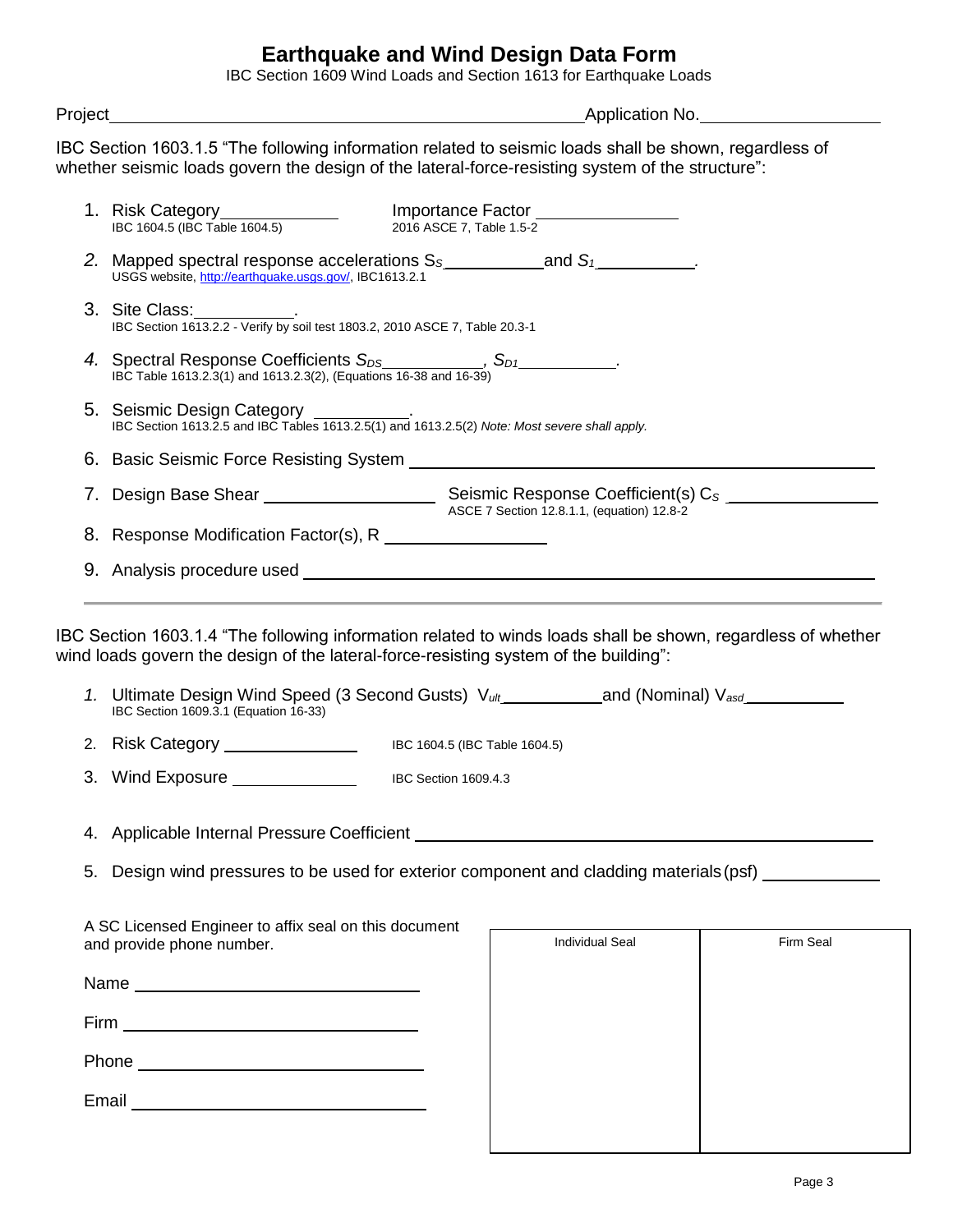## **Earthquake and Wind Design Data Form**

IBC Section 1609 Wind Loads and Section 1613 for Earthquake Loads

Project Application No.

IBC Section 1603.1.5 "The following information related to seismic loads shall be shown, regardless of whether seismic loads govern the design of the lateral-force-resisting system of the structure":

| 1. Risk Category<br>IBC 1604.5 (IBC Table 1604.5)                                                                                                                                                                                   | 2016 ASCE 7, Table 1.5-2 | Importance Factor <b>Fig. 1000</b> |           |
|-------------------------------------------------------------------------------------------------------------------------------------------------------------------------------------------------------------------------------------|--------------------------|------------------------------------|-----------|
| 2. Mapped spectral response accelerations $S_5$ and $S_1$ and $S_2$<br>USGS website, http://earthquake.usgs.gov/, IBC1613.2.1                                                                                                       |                          |                                    |           |
| 3. Site Class: ISO 3.2.2 - Verify by soil test 1803.2, 2010 ASCE 7, Table 20.3-1                                                                                                                                                    |                          |                                    |           |
| 4. Spectral Response Coefficients $S_{DS}$ $S_{D1}$ $S_{D1}$ $S_{D1}$ $S_{D2}$ .                                                                                                                                                    |                          |                                    |           |
| 5. Seismic Design Category<br>IBC Section 1613.2.5 and IBC Tables 1613.2.5(1) and 1613.2.5(2) Note: Most severe shall apply.                                                                                                        |                          |                                    |           |
| 6. Basic Seismic Force Resisting System <b>Example 2018</b> Service Control of the Service Control of the Service Control of the Service Control of the Service Control of the Service Control of the Service Control of the Servic |                          |                                    |           |
|                                                                                                                                                                                                                                     |                          |                                    |           |
|                                                                                                                                                                                                                                     |                          |                                    |           |
|                                                                                                                                                                                                                                     |                          |                                    |           |
| IBC Section 1603.1.4 "The following information related to winds loads shall be shown, regardless of whether                                                                                                                        |                          |                                    |           |
| wind loads govern the design of the lateral-force-resisting system of the building":<br>1. Ultimate Design Wind Speed (3 Second Gusts) $V_{ult}$ and (Nominal) $V_{asd}$<br>IBC Section 1609.3.1 (Equation 16-33)                   |                          |                                    |           |
|                                                                                                                                                                                                                                     |                          |                                    |           |
| 3. Wind Exposure _______________                                                                                                                                                                                                    | IBC Section 1609.4.3     |                                    |           |
|                                                                                                                                                                                                                                     |                          |                                    |           |
| 5. Design wind pressures to be used for exterior component and cladding materials (psf)                                                                                                                                             |                          |                                    |           |
| A SC Licensed Engineer to affix seal on this document<br>and provide phone number.                                                                                                                                                  |                          | <b>Individual Seal</b>             | Firm Seal |
|                                                                                                                                                                                                                                     |                          |                                    |           |
|                                                                                                                                                                                                                                     |                          |                                    |           |

Email

| . |  | _____ |
|---|--|-------|
|   |  |       |
|   |  |       |
|   |  |       |
|   |  |       |
|   |  |       |
|   |  |       |
|   |  |       |
|   |  |       |
|   |  |       |
|   |  |       |
|   |  |       |
|   |  |       |
|   |  |       |
|   |  |       |
|   |  |       |
|   |  |       |
|   |  |       |
|   |  |       |
|   |  |       |
|   |  |       |
|   |  |       |
|   |  |       |
|   |  |       |
|   |  |       |
|   |  |       |
|   |  |       |
|   |  |       |
|   |  |       |
|   |  |       |
|   |  |       |
|   |  |       |
|   |  |       |
|   |  |       |
|   |  |       |
|   |  |       |
|   |  |       |
|   |  |       |
|   |  |       |
|   |  |       |
|   |  |       |
|   |  |       |
|   |  |       |
|   |  |       |
|   |  |       |
|   |  |       |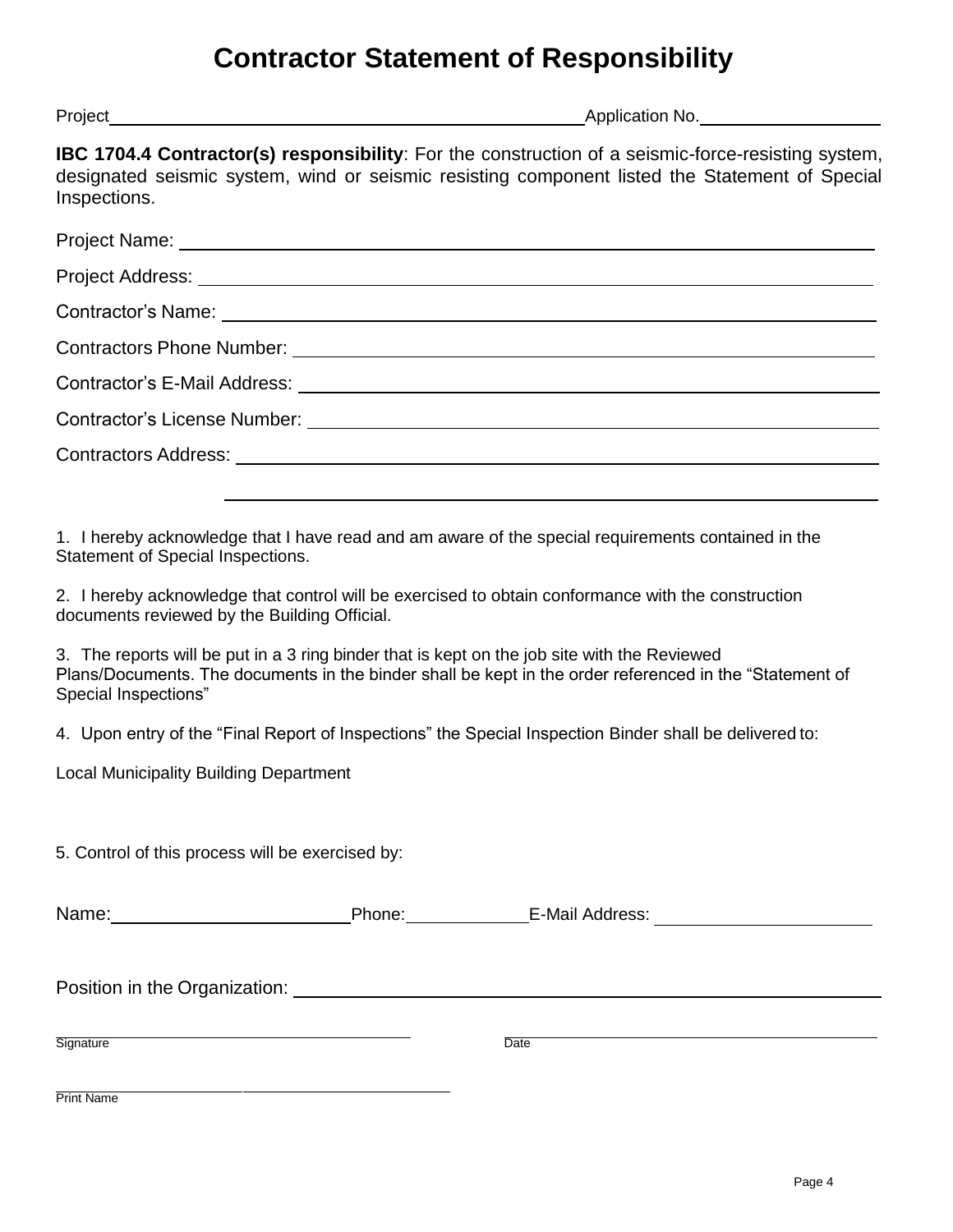# **Contractor Statement of Responsibility**

Project Application No.

**IBC 1704.4 Contractor(s) responsibility**: For the construction of a seismic-force-resisting system, designated seismic system, wind or seismic resisting component listed the Statement of Special Inspections.

| Project Name: <u>Name:</u> Name: Name: Name: Name: Name: Name: Name: Name: Name: Name: Name: Name: Name: Name: Name: Name: Name: Name: Name: Name: Name: Name: Name: Name: Name: Name: Name: Name: Name: Name: Name: Name: Name: Na |
|-------------------------------------------------------------------------------------------------------------------------------------------------------------------------------------------------------------------------------------|
|                                                                                                                                                                                                                                     |
| Contractor's Name: Law and Contractor's Name: Law and Contractor's Name: Law and Contractor's Name:                                                                                                                                 |
|                                                                                                                                                                                                                                     |
|                                                                                                                                                                                                                                     |
| Contractor's License Number: \\owerd{\\state\} \\state\} \\state\} \\state\} \\state\} \\state\} \\state\} \\state\} \\state\} \\state\} \\state\} \\state\} \\state\} \\state\} \\state\} \\state\} \\state\} \\state\} \\sta      |
|                                                                                                                                                                                                                                     |
|                                                                                                                                                                                                                                     |

1. I hereby acknowledge that I have read and am aware of the special requirements contained in the Statement of Special Inspections.

2. I hereby acknowledge that control will be exercised to obtain conformance with the construction documents reviewed by the Building Official.

3. The reports will be put in a 3 ring binder that is kept on the job site with the Reviewed Plans/Documents. The documents in the binder shall be kept in the order referenced in the "Statement of Special Inspections"

4. Upon entry of the "Final Report of Inspections" the Special Inspection Binder shall be delivered to:

Local Municipality Building Department

5. Control of this process will be exercised by:

| Nar<br>------ | D.<br>___ | -Ma<br>.<br>. .<br>. |  |
|---------------|-----------|----------------------|--|
|               |           |                      |  |

Position in the Organization:

Signature Date

Print Name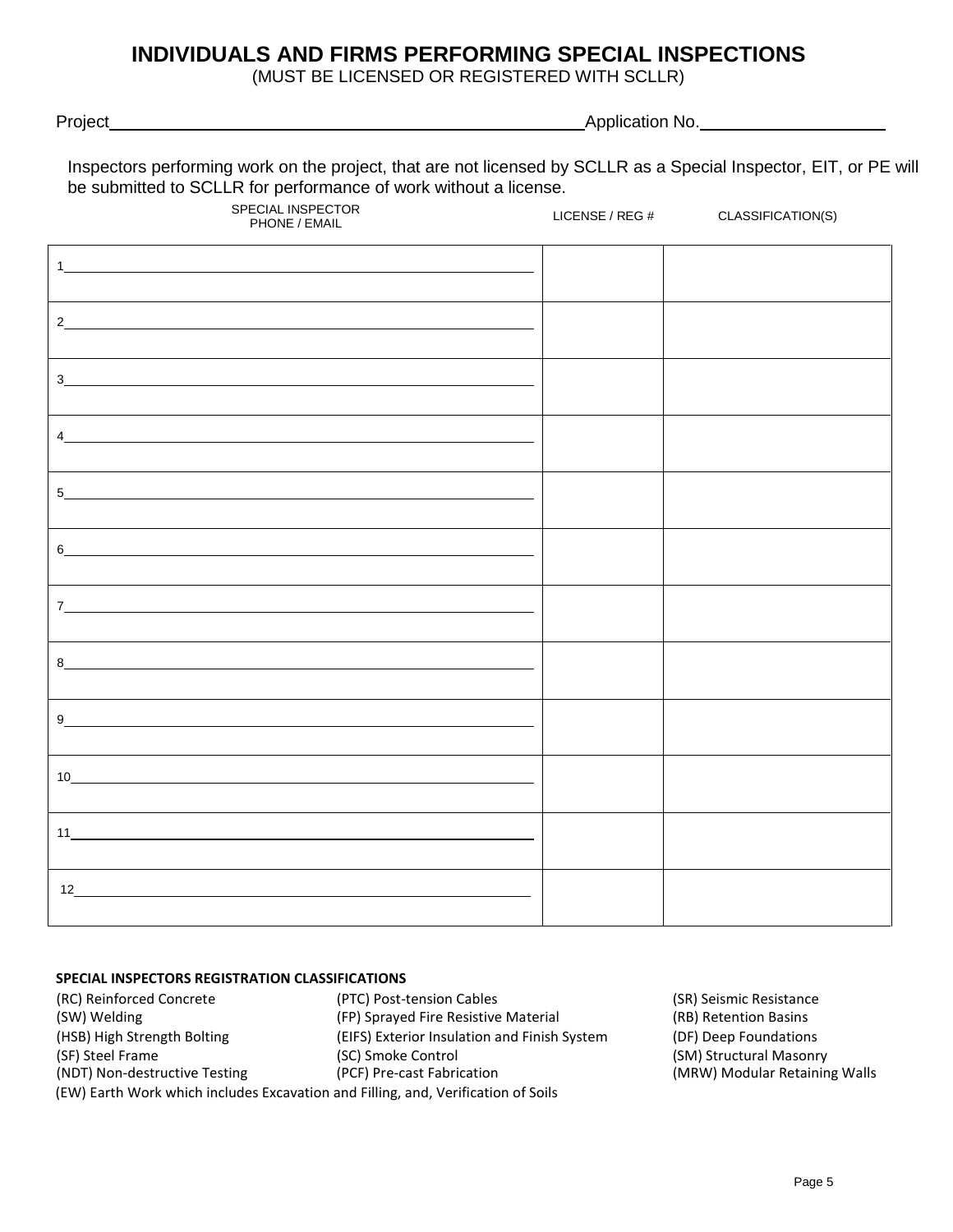### **INDIVIDUALS AND FIRMS PERFORMING SPECIAL INSPECTIONS**

(MUST BE LICENSED OR REGISTERED WITH SCLLR)

Project Application No.

| Inspectors performing work on the project, that are not licensed by SCLLR as a Special Inspector, EIT, or PE will |  |
|-------------------------------------------------------------------------------------------------------------------|--|
| be submitted to SCLLR for performance of work without a license.                                                  |  |

| SPECIAL INSPECTOR<br>PHONE / EMAIL                         | LICENSE / REG # | CLASSIFICATION(S) |
|------------------------------------------------------------|-----------------|-------------------|
| 1                                                          |                 |                   |
| 2                                                          |                 |                   |
|                                                            |                 |                   |
| 4                                                          |                 |                   |
| 5 <sub>1</sub>                                             |                 |                   |
| 6                                                          |                 |                   |
| $7 -$                                                      |                 |                   |
|                                                            |                 |                   |
|                                                            |                 |                   |
| 10                                                         |                 |                   |
| 11                                                         |                 |                   |
| $12$ and $12$ and $12$ and $12$ and $12$ and $12$ and $12$ |                 |                   |

#### **SPECIAL INSPECTORS REGISTRATION CLASSIFICATIONS**

(RC) Reinforced Concrete (PTC) Post-tension Cables (SR) Seismic Resistance (SW) Welding (FP) Sprayed Fire Resistive Material (RB) Retention Basins (HSB) High Strength Bolting (EIFS) Exterior Insulation and Finish System (DF) Deep Foundations (SF) Steel Frame (SC) Smoke Control (SC) Smoke Control (SM) Structural Masonry<br>(NDT) Non-destructive Testing (PCF) Pre-cast Fabrication (MRW) Modular Retainin (EW) Earth Work which includes Excavation and Filling, and, Verification of Soils

(MRW) Modular Retaining Walls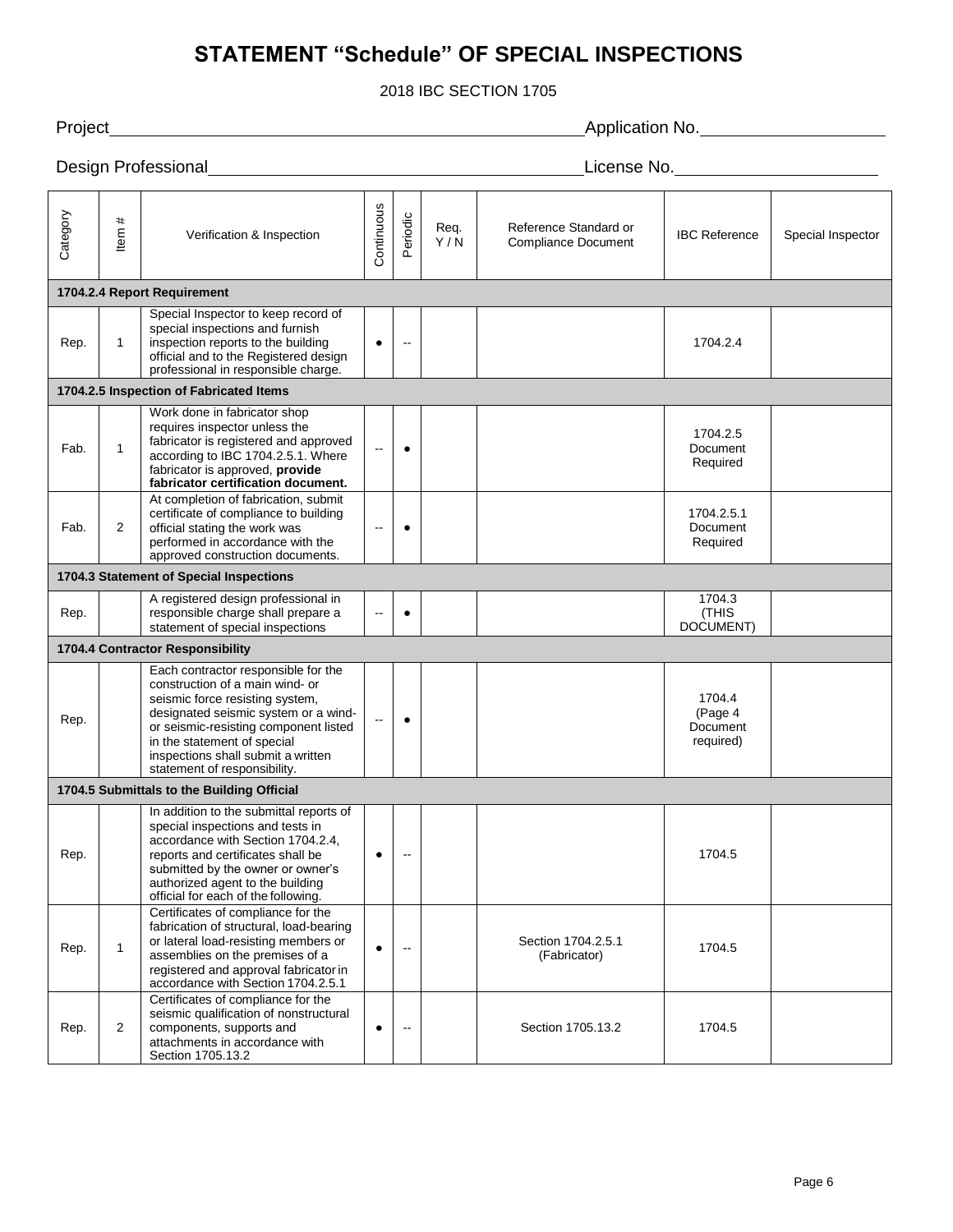## **STATEMENT "Schedule" OF SPECIAL INSPECTIONS**

2018 IBC SECTION 1705

Project **Application No.** The Contract Application No. The Application No. The Application No. The Application No. The Application No. The Application No. The Application No. The Application No. The Application No. The App **Design Professional License No.** 2014 **License No.** 2014 **License No.** 2014 **License No.** Category<br>Item # Verification & Inspection **Continuous** Periodic Req. Y / N Reference Standard or Reference Standard or **IBC Reference Special Inspector**<br>Compliance Document **IBC** Reference Special Inspector **1704.2.4 Report Requirement** Rep.  $\vert$  1 Special Inspector to keep record of special inspections and furnish inspection reports to the building official and to the Registered design professional in responsible charge. ● -- 1704.2.4 **1704.2.5 Inspection of Fabricated Items** Fab.  $\vert$  1 Work done in fabricator shop requires inspector unless the fabricator is registered and approved according to IBC 1704.2.5.1. Where fabricator is approved, **provide fabricator certification document.** -- ● 1704.2.5 **Document** Required Fab.  $\vert$  2 At completion of fabrication, submit certificate of compliance to building official stating the work was performed in accordance with the approved construction documents. -- ● 1704.2.5.1 Document Required **1704.3 Statement of Special Inspections** Rep. A registered design professional in responsible charge shall prepare a statement of special inspections  $\bullet$ 1704.3 (THIS DOCUMENT) **1704.4 Contractor Responsibility** Rep. Each contractor responsible for the construction of a main wind- or seismic force resisting system, designated seismic system or a windor seismic-resisting component listed in the statement of special inspections shall submit a written statement of responsibility. -- ● 1704.4 (Page 4 **Document** required) **1704.5 Submittals to the Building Official** Rep. In addition to the submittal reports of special inspections and tests in accordance with Section 1704.2.4, reports and certificates shall be submitted by the owner or owner's authorized agent to the building official for each of the following. ● -- 1704.5 Rep.  $\vert$  1 Certificates of compliance for the fabrication of structural, load-bearing or lateral load-resisting members or assemblies on the premises of a registered and approval fabricator in accordance with Section 1704.2.5.1 ● -- Section 1704.2.5.1 (Fabricator) 1704.5 Rep.  $\vert$  2 Certificates of compliance for the seismic qualification of nonstructural components, supports and attachments in accordance with Section 1705.13.2 -- | | Section 1705.13.2 | 1704.5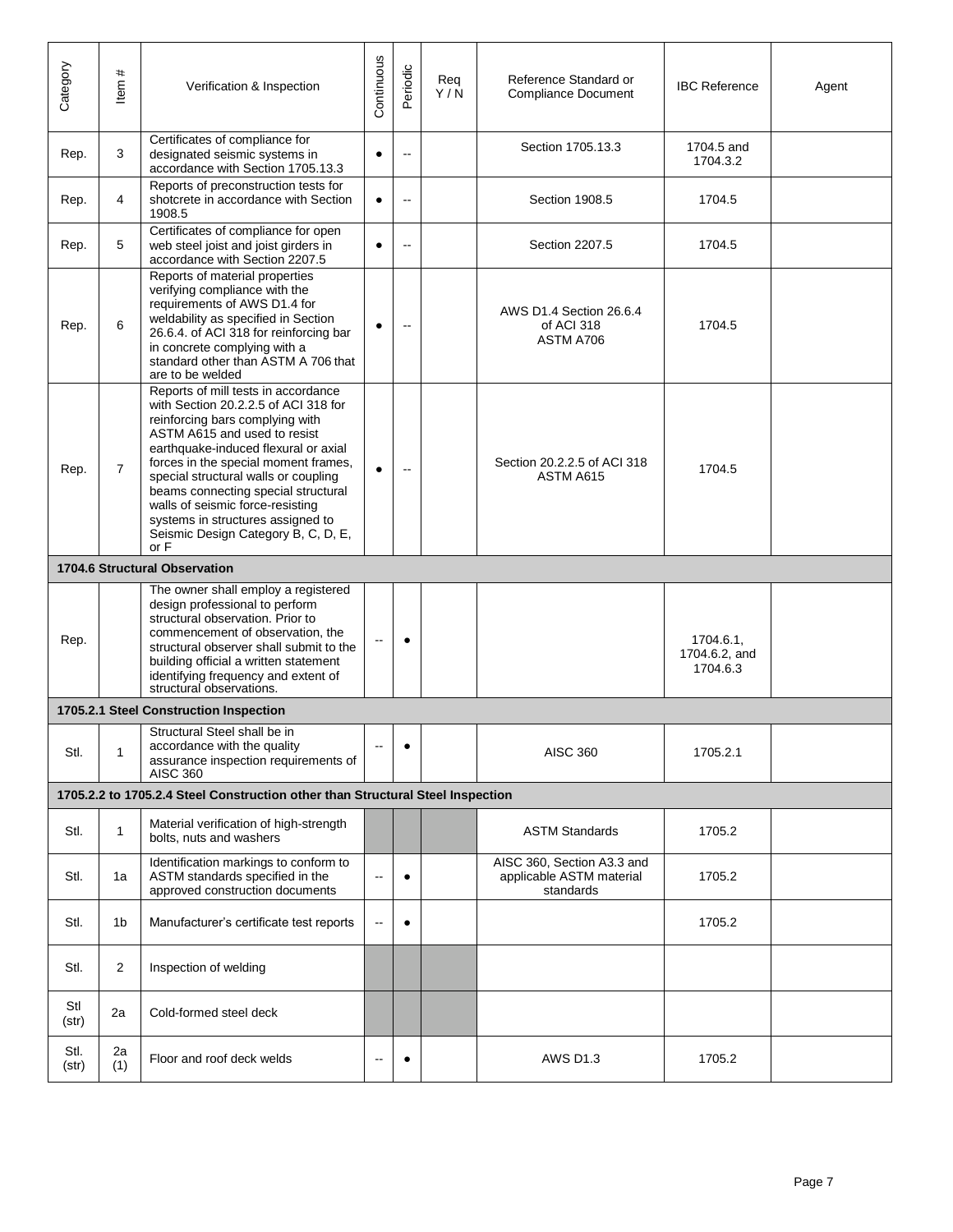| Category      | #<br>ltem      | Verification & Inspection                                                                                                                                                                                                                                                                                                                                                                                                             | Continuous               | Periodic       | Reg<br>Y/N | Reference Standard or<br><b>Compliance Document</b>                 | <b>IBC Reference</b>                   | Agent |
|---------------|----------------|---------------------------------------------------------------------------------------------------------------------------------------------------------------------------------------------------------------------------------------------------------------------------------------------------------------------------------------------------------------------------------------------------------------------------------------|--------------------------|----------------|------------|---------------------------------------------------------------------|----------------------------------------|-------|
| Rep.          | 3              | Certificates of compliance for<br>designated seismic systems in<br>accordance with Section 1705.13.3                                                                                                                                                                                                                                                                                                                                  | $\bullet$                | $\overline{a}$ |            | Section 1705.13.3                                                   | 1704.5 and<br>1704.3.2                 |       |
| Rep.          | 4              | Reports of preconstruction tests for<br>shotcrete in accordance with Section<br>1908.5                                                                                                                                                                                                                                                                                                                                                | $\bullet$                | $\sim$         |            | Section 1908.5                                                      | 1704.5                                 |       |
| Rep.          | 5              | Certificates of compliance for open<br>web steel joist and joist girders in<br>accordance with Section 2207.5                                                                                                                                                                                                                                                                                                                         | $\bullet$                | $\sim$         |            | Section 2207.5                                                      | 1704.5                                 |       |
| Rep.          | 6              | Reports of material properties<br>verifying compliance with the<br>requirements of AWS D1.4 for<br>weldability as specified in Section<br>26.6.4. of ACI 318 for reinforcing bar<br>in concrete complying with a<br>standard other than ASTM A 706 that<br>are to be welded                                                                                                                                                           | $\bullet$                | $\sim$         |            | AWS D1.4 Section 26.6.4<br>of ACI 318<br>ASTM A706                  | 1704.5                                 |       |
| Rep.          | $\overline{7}$ | Reports of mill tests in accordance<br>with Section 20.2.2.5 of ACI 318 for<br>reinforcing bars complying with<br>ASTM A615 and used to resist<br>earthquake-induced flexural or axial<br>forces in the special moment frames,<br>special structural walls or coupling<br>beams connecting special structural<br>walls of seismic force-resisting<br>systems in structures assigned to<br>Seismic Design Category B, C, D, E,<br>or F | $\bullet$                |                |            | Section 20.2.2.5 of ACI 318<br>ASTM A615                            | 1704.5                                 |       |
|               |                | 1704.6 Structural Observation                                                                                                                                                                                                                                                                                                                                                                                                         |                          |                |            |                                                                     |                                        |       |
| Rep.          |                | The owner shall employ a registered<br>design professional to perform<br>structural observation. Prior to<br>commencement of observation, the<br>structural observer shall submit to the<br>building official a written statement<br>identifying frequency and extent of<br>structural observations.                                                                                                                                  | $\overline{a}$           | $\bullet$      |            |                                                                     | 1704.6.1,<br>1704.6.2, and<br>1704.6.3 |       |
|               |                | 1705.2.1 Steel Construction Inspection                                                                                                                                                                                                                                                                                                                                                                                                |                          |                |            |                                                                     |                                        |       |
| Stl.          | 1              | Structural Steel shall be in<br>accordance with the quality<br>assurance inspection requirements of<br><b>AISC 360</b>                                                                                                                                                                                                                                                                                                                | $\overline{\phantom{a}}$ | $\bullet$      |            | <b>AISC 360</b>                                                     | 1705.2.1                               |       |
|               |                | 1705.2.2 to 1705.2.4 Steel Construction other than Structural Steel Inspection                                                                                                                                                                                                                                                                                                                                                        |                          |                |            |                                                                     |                                        |       |
| Stl.          | 1              | Material verification of high-strength<br>bolts, nuts and washers                                                                                                                                                                                                                                                                                                                                                                     |                          |                |            | <b>ASTM Standards</b>                                               | 1705.2                                 |       |
| Stl.          | 1a             | Identification markings to conform to<br>ASTM standards specified in the<br>approved construction documents                                                                                                                                                                                                                                                                                                                           | $\overline{\phantom{a}}$ | $\bullet$      |            | AISC 360, Section A3.3 and<br>applicable ASTM material<br>standards | 1705.2                                 |       |
| Stl.          | 1b             | Manufacturer's certificate test reports                                                                                                                                                                                                                                                                                                                                                                                               | $\ddotsc$                | $\bullet$      |            |                                                                     | 1705.2                                 |       |
| Stl.          | $\overline{2}$ | Inspection of welding                                                                                                                                                                                                                                                                                                                                                                                                                 |                          |                |            |                                                                     |                                        |       |
| Stl<br>(str)  | 2a             | Cold-formed steel deck                                                                                                                                                                                                                                                                                                                                                                                                                |                          |                |            |                                                                     |                                        |       |
| Stl.<br>(str) | 2a<br>(1)      | Floor and roof deck welds                                                                                                                                                                                                                                                                                                                                                                                                             | $\overline{a}$           | $\bullet$      |            | <b>AWS D1.3</b>                                                     | 1705.2                                 |       |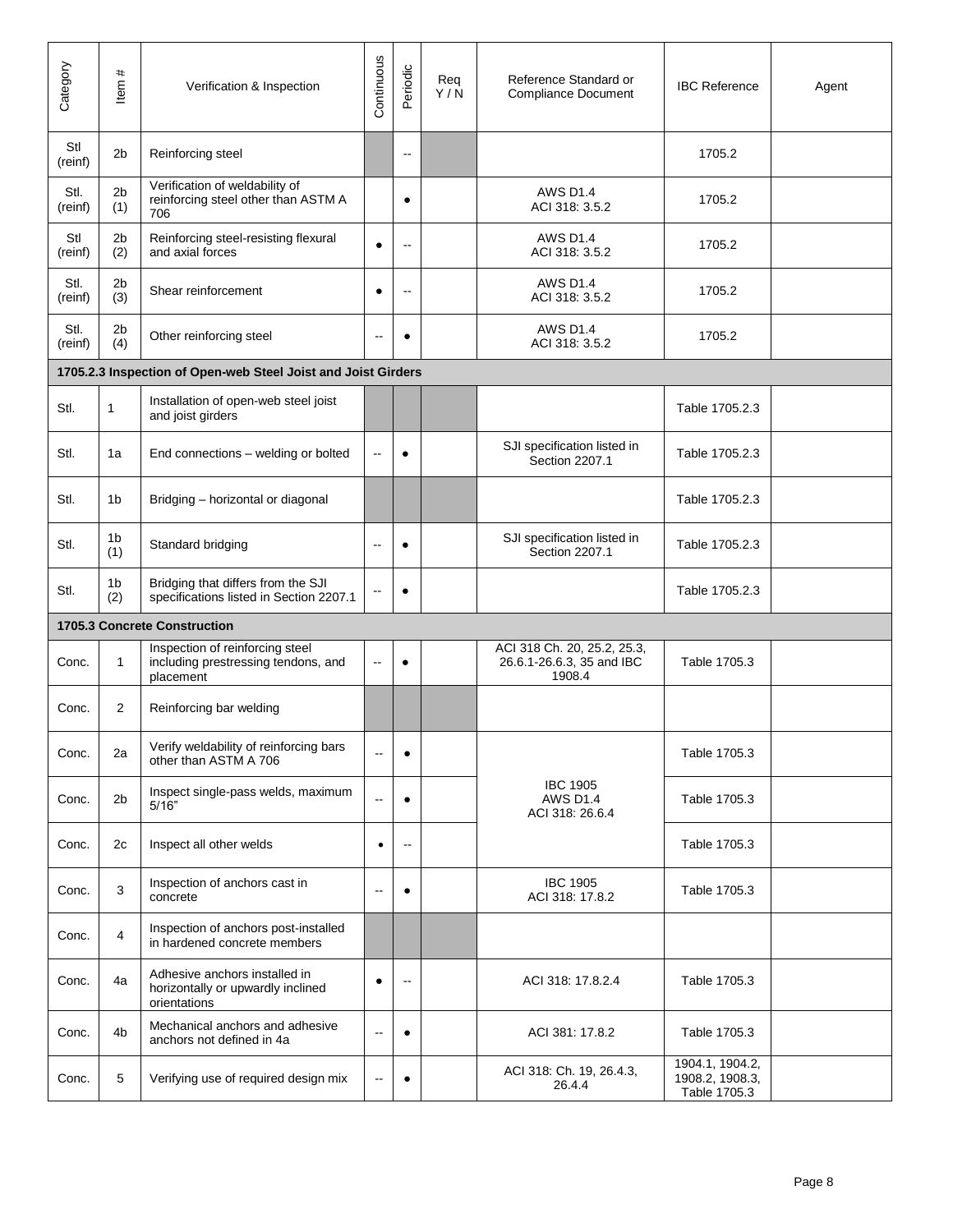| Category        | $\pmb{\ast}$<br>tem   | Verification & Inspection                                                           | Continuous               | Periodic                 | Req<br>Y/N | Reference Standard or<br><b>Compliance Document</b>                | <b>IBC Reference</b>                               | Agent |
|-----------------|-----------------------|-------------------------------------------------------------------------------------|--------------------------|--------------------------|------------|--------------------------------------------------------------------|----------------------------------------------------|-------|
| Stl<br>(reinf)  | 2 <sub>b</sub>        | Reinforcing steel                                                                   |                          | $\sim$                   |            |                                                                    | 1705.2                                             |       |
| Stl.<br>(reinf) | 2 <sub>b</sub><br>(1) | Verification of weldability of<br>reinforcing steel other than ASTM A<br>706        |                          | $\bullet$                |            | <b>AWS D1.4</b><br>ACI 318: 3.5.2                                  | 1705.2                                             |       |
| Stl<br>(reinf)  | 2 <sub>b</sub><br>(2) | Reinforcing steel-resisting flexural<br>and axial forces                            | $\bullet$                | $\overline{\phantom{a}}$ |            | <b>AWS D1.4</b><br>ACI 318: 3.5.2                                  | 1705.2                                             |       |
| Stl.<br>(reinf) | 2 <sub>b</sub><br>(3) | Shear reinforcement                                                                 | $\bullet$                | $\sim$                   |            | <b>AWS D1.4</b><br>ACI 318: 3.5.2                                  | 1705.2                                             |       |
| Stl.<br>(reinf) | 2 <sub>b</sub><br>(4) | Other reinforcing steel                                                             | $\overline{\phantom{a}}$ | $\bullet$                |            | <b>AWS D1.4</b><br>ACI 318: 3.5.2                                  | 1705.2                                             |       |
|                 |                       | 1705.2.3 Inspection of Open-web Steel Joist and Joist Girders                       |                          |                          |            |                                                                    |                                                    |       |
| Stl.            | 1                     | Installation of open-web steel joist<br>and joist girders                           |                          |                          |            |                                                                    | Table 1705.2.3                                     |       |
| Stl.            | 1a                    | End connections - welding or bolted                                                 | $\overline{a}$           | $\bullet$                |            | SJI specification listed in<br>Section 2207.1                      | Table 1705.2.3                                     |       |
| Stl.            | 1b                    | Bridging - horizontal or diagonal                                                   |                          |                          |            |                                                                    | Table 1705.2.3                                     |       |
| Stl.            | 1b<br>(1)             | Standard bridging                                                                   | --                       | ٠                        |            | SJI specification listed in<br>Section 2207.1                      | Table 1705.2.3                                     |       |
| Stl.            | 1b<br>(2)             | Bridging that differs from the SJI<br>specifications listed in Section 2207.1       | $\overline{a}$           | $\bullet$                |            |                                                                    | Table 1705.2.3                                     |       |
|                 |                       | 1705.3 Concrete Construction                                                        |                          |                          |            |                                                                    |                                                    |       |
| Conc.           | 1                     | Inspection of reinforcing steel<br>including prestressing tendons, and<br>placement | $\sim$                   | $\bullet$                |            | ACI 318 Ch. 20, 25.2, 25.3,<br>26.6.1-26.6.3, 35 and IBC<br>1908.4 | Table 1705.3                                       |       |
| Conc.           | $\overline{2}$        | Reinforcing bar welding                                                             |                          |                          |            |                                                                    |                                                    |       |
| Conc.           | 2a                    | Verify weldability of reinforcing bars<br>other than ASTM A 706                     | $\overline{\phantom{a}}$ | $\bullet$                |            |                                                                    | Table 1705.3                                       |       |
| Conc.           | 2 <sub>b</sub>        | Inspect single-pass welds, maximum<br>5/16"                                         | $\sim$                   | $\bullet$                |            | <b>IBC 1905</b><br><b>AWS D1.4</b><br>ACI 318: 26.6.4              | Table 1705.3                                       |       |
| Conc.           | 2c                    | Inspect all other welds                                                             | $\bullet$                | $\overline{\phantom{a}}$ |            |                                                                    | Table 1705.3                                       |       |
| Conc.           | 3                     | Inspection of anchors cast in<br>concrete                                           | $\overline{a}$           | $\bullet$                |            | <b>IBC 1905</b><br>ACI 318: 17.8.2                                 | Table 1705.3                                       |       |
| Conc.           | 4                     | Inspection of anchors post-installed<br>in hardened concrete members                |                          |                          |            |                                                                    |                                                    |       |
| Conc.           | 4a                    | Adhesive anchors installed in<br>horizontally or upwardly inclined<br>orientations  | $\bullet$                | $\sim$                   |            | ACI 318: 17.8.2.4                                                  | Table 1705.3                                       |       |
| Conc.           | 4 <sub>b</sub>        | Mechanical anchors and adhesive<br>anchors not defined in 4a                        | $\overline{a}$           | $\bullet$                |            | ACI 381: 17.8.2                                                    | Table 1705.3                                       |       |
| Conc.           | 5                     | Verifying use of required design mix                                                | $\overline{\phantom{a}}$ | $\bullet$                |            | ACI 318: Ch. 19, 26.4.3,<br>26.4.4                                 | 1904.1, 1904.2,<br>1908.2, 1908.3,<br>Table 1705.3 |       |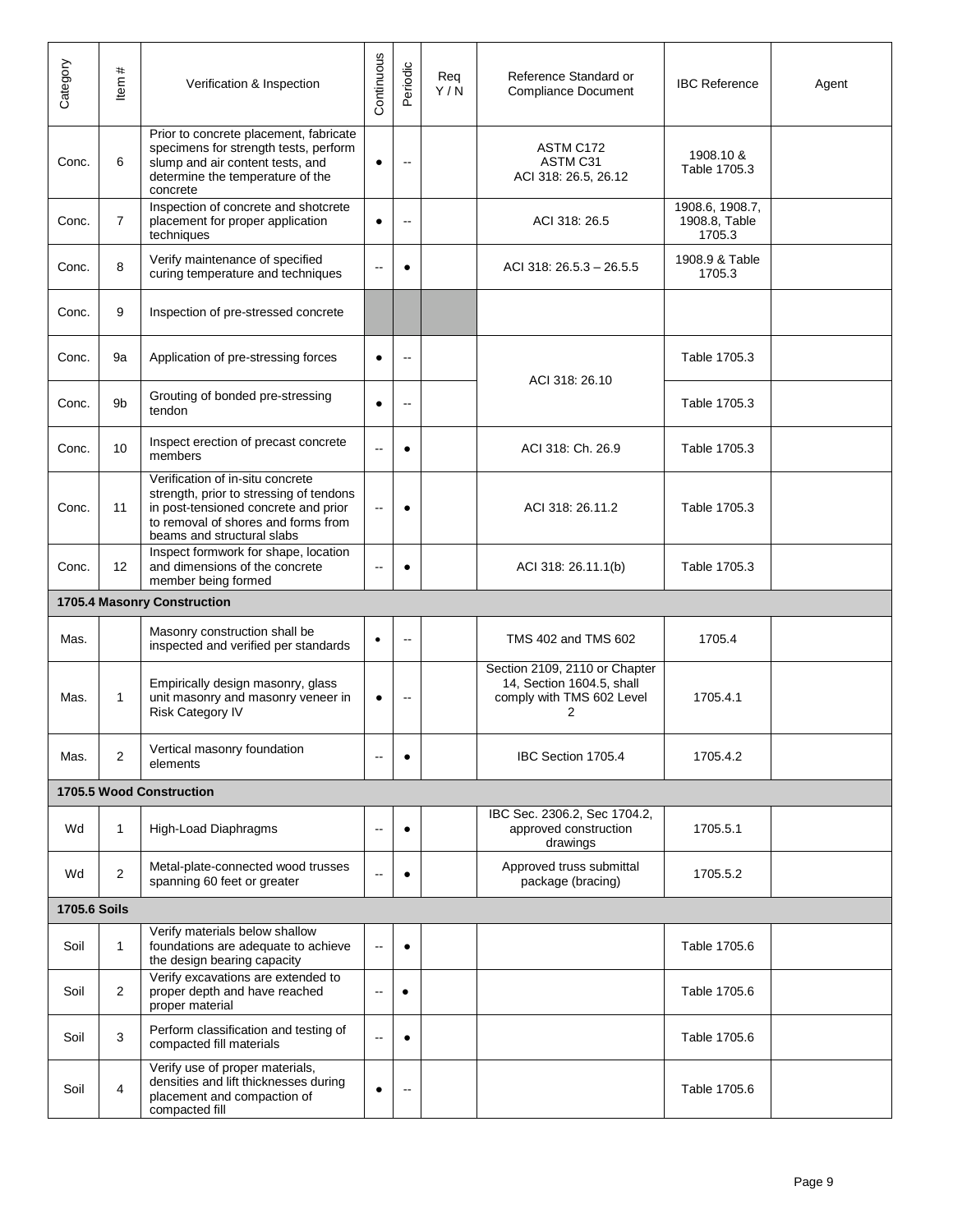| Category            | $\pmb{\ast}$<br>Item | Verification & Inspection                                                                                                                                                                | Continuous               | Periodic                 | Reg<br>Y/N | Reference Standard or<br><b>Compliance Document</b>                                          | <b>IBC Reference</b>                       | Agent |
|---------------------|----------------------|------------------------------------------------------------------------------------------------------------------------------------------------------------------------------------------|--------------------------|--------------------------|------------|----------------------------------------------------------------------------------------------|--------------------------------------------|-------|
| Conc.               | 6                    | Prior to concrete placement, fabricate<br>specimens for strength tests, perform<br>slump and air content tests, and<br>determine the temperature of the<br>concrete                      | $\bullet$                | --                       |            | ASTM C172<br>ASTM C31<br>ACI 318: 26.5, 26.12                                                | 1908.10 &<br>Table 1705.3                  |       |
| Conc.               | $\overline{7}$       | Inspection of concrete and shotcrete<br>placement for proper application<br>techniques                                                                                                   | $\bullet$                | $\overline{\phantom{a}}$ |            | ACI 318: 26.5                                                                                | 1908.6, 1908.7,<br>1908.8, Table<br>1705.3 |       |
| Conc.               | 8                    | Verify maintenance of specified<br>curing temperature and techniques                                                                                                                     | $\overline{\phantom{a}}$ | ٠                        |            | ACI 318: 26.5.3 - 26.5.5                                                                     | 1908.9 & Table<br>1705.3                   |       |
| Conc.               | 9                    | Inspection of pre-stressed concrete                                                                                                                                                      |                          |                          |            |                                                                                              |                                            |       |
| Conc.               | 9a                   | Application of pre-stressing forces                                                                                                                                                      | $\bullet$                | $\overline{a}$           |            | ACI 318: 26.10                                                                               | Table 1705.3                               |       |
| Conc.               | 9b                   | Grouting of bonded pre-stressing<br>tendon                                                                                                                                               | $\bullet$                | $\overline{a}$           |            |                                                                                              | Table 1705.3                               |       |
| Conc.               | 10                   | Inspect erection of precast concrete<br>members                                                                                                                                          | --                       | $\bullet$                |            | ACI 318: Ch. 26.9                                                                            | Table 1705.3                               |       |
| Conc.               | 11                   | Verification of in-situ concrete<br>strength, prior to stressing of tendons<br>in post-tensioned concrete and prior<br>to removal of shores and forms from<br>beams and structural slabs | $\overline{\phantom{a}}$ | $\bullet$                |            | ACI 318: 26.11.2                                                                             | Table 1705.3                               |       |
| Conc.               | 12                   | Inspect formwork for shape, location<br>and dimensions of the concrete<br>member being formed                                                                                            | $\sim$                   |                          |            | ACI 318: 26.11.1(b)                                                                          | Table 1705.3                               |       |
|                     |                      | 1705.4 Masonry Construction                                                                                                                                                              |                          |                          |            |                                                                                              |                                            |       |
| Mas.                |                      | Masonry construction shall be<br>inspected and verified per standards                                                                                                                    | $\bullet$                | $\overline{\phantom{a}}$ |            | TMS 402 and TMS 602                                                                          | 1705.4                                     |       |
| Mas.                | 1                    | Empirically design masonry, glass<br>unit masonry and masonry veneer in<br><b>Risk Category IV</b>                                                                                       | $\bullet$                | $\overline{\phantom{a}}$ |            | Section 2109, 2110 or Chapter<br>14, Section 1604.5, shall<br>comply with TMS 602 Level<br>2 | 1705.4.1                                   |       |
| Mas.                | $\overline{2}$       | Vertical masonry foundation<br>elements                                                                                                                                                  |                          | $\bullet$                |            | IBC Section 1705.4                                                                           | 1705.4.2                                   |       |
|                     |                      | 1705.5 Wood Construction                                                                                                                                                                 |                          |                          |            |                                                                                              |                                            |       |
| Wd                  | 1                    | High-Load Diaphragms                                                                                                                                                                     | $\sim$                   | $\bullet$                |            | IBC Sec. 2306.2, Sec 1704.2,<br>approved construction<br>drawings                            | 1705.5.1                                   |       |
| Wd                  | $\overline{2}$       | Metal-plate-connected wood trusses<br>spanning 60 feet or greater                                                                                                                        |                          |                          |            | Approved truss submittal<br>package (bracing)                                                | 1705.5.2                                   |       |
| <b>1705.6 Soils</b> |                      |                                                                                                                                                                                          |                          |                          |            |                                                                                              |                                            |       |
| Soil                | 1                    | Verify materials below shallow<br>foundations are adequate to achieve<br>the design bearing capacity                                                                                     | $\sim$                   | $\bullet$                |            |                                                                                              | Table 1705.6                               |       |
| Soil                | $\overline{2}$       | Verify excavations are extended to<br>proper depth and have reached<br>proper material                                                                                                   | $\overline{\phantom{a}}$ | $\bullet$                |            |                                                                                              | Table 1705.6                               |       |
| Soil                | 3                    | Perform classification and testing of<br>compacted fill materials                                                                                                                        | μ.                       | $\bullet$                |            |                                                                                              | Table 1705.6                               |       |
| Soil                | 4                    | Verify use of proper materials,<br>densities and lift thicknesses during<br>placement and compaction of<br>compacted fill                                                                | $\bullet$                | $\overline{\phantom{a}}$ |            |                                                                                              | Table 1705.6                               |       |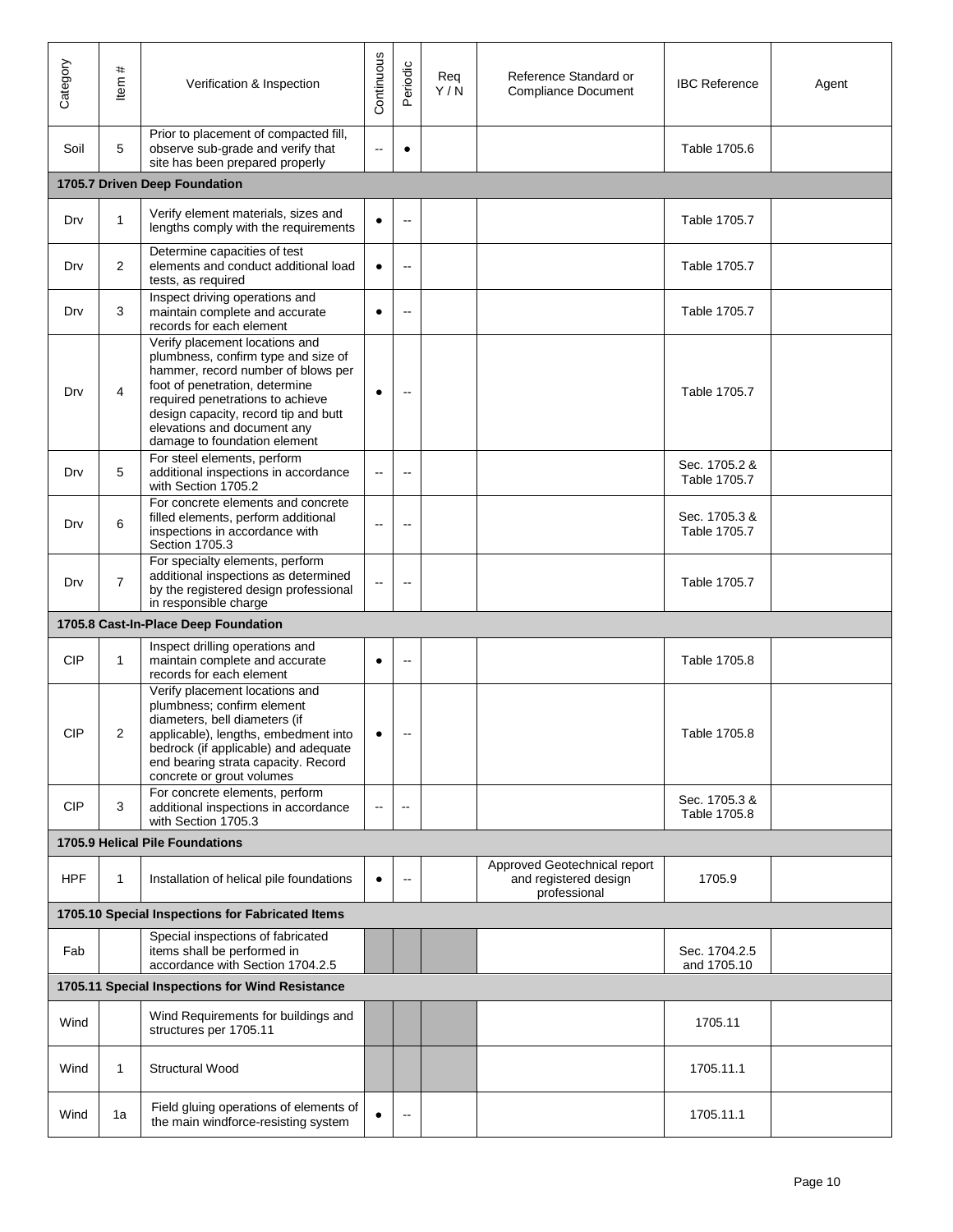| Category   | #<br>ltem      | Verification & Inspection                                                                                                                                                                                                                                                                | Continuous               | Periodic                 | Req<br>Y/N | Reference Standard or<br><b>Compliance Document</b>                   | <b>IBC Reference</b>          | Agent |
|------------|----------------|------------------------------------------------------------------------------------------------------------------------------------------------------------------------------------------------------------------------------------------------------------------------------------------|--------------------------|--------------------------|------------|-----------------------------------------------------------------------|-------------------------------|-------|
| Soil       | 5              | Prior to placement of compacted fill,<br>observe sub-grade and verify that<br>site has been prepared properly                                                                                                                                                                            | $\ddotsc$                | $\bullet$                |            |                                                                       | Table 1705.6                  |       |
|            |                | 1705.7 Driven Deep Foundation                                                                                                                                                                                                                                                            |                          |                          |            |                                                                       |                               |       |
| Drv        | 1              | Verify element materials, sizes and<br>lengths comply with the requirements                                                                                                                                                                                                              | $\bullet$                | $\overline{\phantom{a}}$ |            |                                                                       | Table 1705.7                  |       |
| Drv        | $\overline{2}$ | Determine capacities of test<br>elements and conduct additional load<br>tests, as required                                                                                                                                                                                               | $\bullet$                | $\overline{a}$           |            |                                                                       | Table 1705.7                  |       |
| Drv        | 3              | Inspect driving operations and<br>maintain complete and accurate<br>records for each element                                                                                                                                                                                             | $\bullet$                | $\overline{\phantom{a}}$ |            |                                                                       | Table 1705.7                  |       |
| Drv        | 4              | Verify placement locations and<br>plumbness, confirm type and size of<br>hammer, record number of blows per<br>foot of penetration, determine<br>required penetrations to achieve<br>design capacity, record tip and butt<br>elevations and document any<br>damage to foundation element | $\bullet$                | $\sim$                   |            |                                                                       | Table 1705.7                  |       |
| Drv        | 5              | For steel elements, perform<br>additional inspections in accordance<br>with Section 1705.2                                                                                                                                                                                               | --                       |                          |            |                                                                       | Sec. 1705.2 &<br>Table 1705.7 |       |
| Drv        | 6              | For concrete elements and concrete<br>filled elements, perform additional<br>inspections in accordance with<br>Section 1705.3                                                                                                                                                            | $\overline{a}$           | $\sim$                   |            |                                                                       | Sec. 1705.3 &<br>Table 1705.7 |       |
| Drv        | $\overline{7}$ | For specialty elements, perform<br>additional inspections as determined<br>by the registered design professional<br>in responsible charge                                                                                                                                                | $\sim$                   | $\overline{\phantom{a}}$ |            |                                                                       | Table 1705.7                  |       |
|            |                | 1705.8 Cast-In-Place Deep Foundation                                                                                                                                                                                                                                                     |                          |                          |            |                                                                       |                               |       |
| <b>CIP</b> | 1              | Inspect drilling operations and<br>maintain complete and accurate<br>records for each element                                                                                                                                                                                            | $\bullet$                | $\sim$                   |            |                                                                       | Table 1705.8                  |       |
| <b>CIP</b> | 2              | Verify placement locations and<br>plumbness; confirm element<br>diameters, bell diameters (if<br>applicable), lengths, embedment into<br>bedrock (if applicable) and adequate<br>end bearing strata capacity. Record<br>concrete or grout volumes                                        | $\bullet$                | $\overline{\phantom{a}}$ |            |                                                                       | Table 1705.8                  |       |
| <b>CIP</b> | 3              | For concrete elements, perform<br>additional inspections in accordance<br>with Section 1705.3                                                                                                                                                                                            | $\overline{\phantom{a}}$ | $\overline{a}$           |            |                                                                       | Sec. 1705.3 &<br>Table 1705.8 |       |
|            |                | 1705.9 Helical Pile Foundations                                                                                                                                                                                                                                                          |                          |                          |            |                                                                       |                               |       |
| <b>HPF</b> | 1              | Installation of helical pile foundations                                                                                                                                                                                                                                                 | $\bullet$                | $\overline{\phantom{a}}$ |            | Approved Geotechnical report<br>and registered design<br>professional | 1705.9                        |       |
|            |                | 1705.10 Special Inspections for Fabricated Items                                                                                                                                                                                                                                         |                          |                          |            |                                                                       |                               |       |
| Fab        |                | Special inspections of fabricated<br>items shall be performed in<br>accordance with Section 1704.2.5                                                                                                                                                                                     |                          |                          |            |                                                                       | Sec. 1704.2.5<br>and 1705.10  |       |
|            |                | 1705.11 Special Inspections for Wind Resistance                                                                                                                                                                                                                                          |                          |                          |            |                                                                       |                               |       |
| Wind       |                | Wind Requirements for buildings and<br>structures per 1705.11                                                                                                                                                                                                                            |                          |                          |            |                                                                       | 1705.11                       |       |
| Wind       | 1              | Structural Wood                                                                                                                                                                                                                                                                          |                          |                          |            |                                                                       | 1705.11.1                     |       |
| Wind       | 1a             | Field gluing operations of elements of<br>the main windforce-resisting system                                                                                                                                                                                                            | $\bullet$                | $\overline{\phantom{a}}$ |            |                                                                       | 1705.11.1                     |       |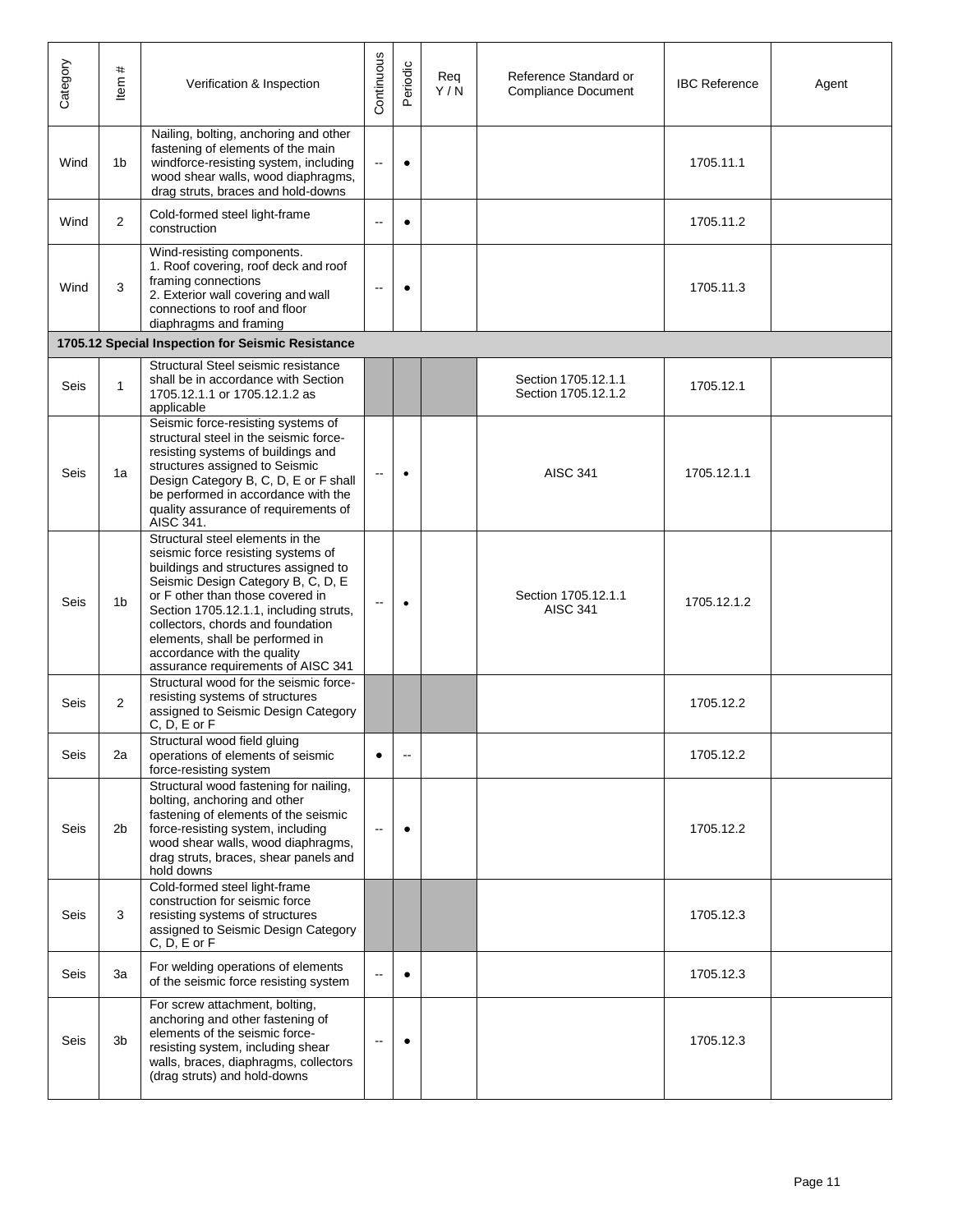| Category    | #<br>Item      | Verification & Inspection                                                                                                                                                                                                                                                                                                                                                       | Continuous               | Periodic  | Reg<br>Y/N | Reference Standard or<br><b>Compliance Document</b> | <b>IBC Reference</b> | Agent |
|-------------|----------------|---------------------------------------------------------------------------------------------------------------------------------------------------------------------------------------------------------------------------------------------------------------------------------------------------------------------------------------------------------------------------------|--------------------------|-----------|------------|-----------------------------------------------------|----------------------|-------|
| Wind        | 1 <sub>b</sub> | Nailing, bolting, anchoring and other<br>fastening of elements of the main<br>windforce-resisting system, including<br>wood shear walls, wood diaphragms,<br>drag struts, braces and hold-downs                                                                                                                                                                                 | $\overline{\phantom{a}}$ | $\bullet$ |            |                                                     | 1705.11.1            |       |
| Wind        | $\mathbf{2}$   | Cold-formed steel light-frame<br>construction                                                                                                                                                                                                                                                                                                                                   |                          | $\bullet$ |            |                                                     | 1705.11.2            |       |
| Wind        | 3              | Wind-resisting components.<br>1. Roof covering, roof deck and roof<br>framing connections<br>2. Exterior wall covering and wall<br>connections to roof and floor<br>diaphragms and framing                                                                                                                                                                                      | $\overline{a}$           | $\bullet$ |            |                                                     | 1705.11.3            |       |
|             |                | 1705.12 Special Inspection for Seismic Resistance                                                                                                                                                                                                                                                                                                                               |                          |           |            |                                                     |                      |       |
| <b>Seis</b> | 1              | Structural Steel seismic resistance<br>shall be in accordance with Section<br>1705.12.1.1 or 1705.12.1.2 as<br>applicable                                                                                                                                                                                                                                                       |                          |           |            | Section 1705.12.1.1<br>Section 1705.12.1.2          | 1705.12.1            |       |
| Seis        | 1a             | Seismic force-resisting systems of<br>structural steel in the seismic force-<br>resisting systems of buildings and<br>structures assigned to Seismic<br>Design Category B, C, D, E or F shall<br>be performed in accordance with the<br>quality assurance of requirements of<br>AISC 341.                                                                                       | $\sim$                   | $\bullet$ |            | <b>AISC 341</b>                                     | 1705.12.1.1          |       |
| Seis        | 1b             | Structural steel elements in the<br>seismic force resisting systems of<br>buildings and structures assigned to<br>Seismic Design Category B, C, D, E<br>or F other than those covered in<br>Section 1705.12.1.1, including struts,<br>collectors, chords and foundation<br>elements, shall be performed in<br>accordance with the quality<br>assurance requirements of AISC 341 | $\sim$                   | $\bullet$ |            | Section 1705.12.1.1<br><b>AISC 341</b>              | 1705.12.1.2          |       |
| Seis        | $\overline{2}$ | Structural wood for the seismic force-<br>resisting systems of structures<br>assigned to Seismic Design Category<br>$C, D, E$ or $F$                                                                                                                                                                                                                                            |                          |           |            |                                                     | 1705.12.2            |       |
| Seis        | 2a             | Structural wood field gluing<br>operations of elements of seismic<br>force-resisting system                                                                                                                                                                                                                                                                                     | $\bullet$                | --        |            |                                                     | 1705.12.2            |       |
| Seis        | 2b             | Structural wood fastening for nailing,<br>bolting, anchoring and other<br>fastening of elements of the seismic<br>force-resisting system, including<br>wood shear walls, wood diaphragms,<br>drag struts, braces, shear panels and<br>hold downs                                                                                                                                | $\sim$                   | $\bullet$ |            |                                                     | 1705.12.2            |       |
| Seis        | 3              | Cold-formed steel light-frame<br>construction for seismic force<br>resisting systems of structures<br>assigned to Seismic Design Category<br>$C, D, E$ or $F$                                                                                                                                                                                                                   |                          |           |            |                                                     | 1705.12.3            |       |
| Seis        | 3a             | For welding operations of elements<br>of the seismic force resisting system                                                                                                                                                                                                                                                                                                     | --                       | $\bullet$ |            |                                                     | 1705.12.3            |       |
| Seis        | 3b             | For screw attachment, bolting,<br>anchoring and other fastening of<br>elements of the seismic force-<br>resisting system, including shear<br>walls, braces, diaphragms, collectors<br>(drag struts) and hold-downs                                                                                                                                                              | --                       |           |            |                                                     | 1705.12.3            |       |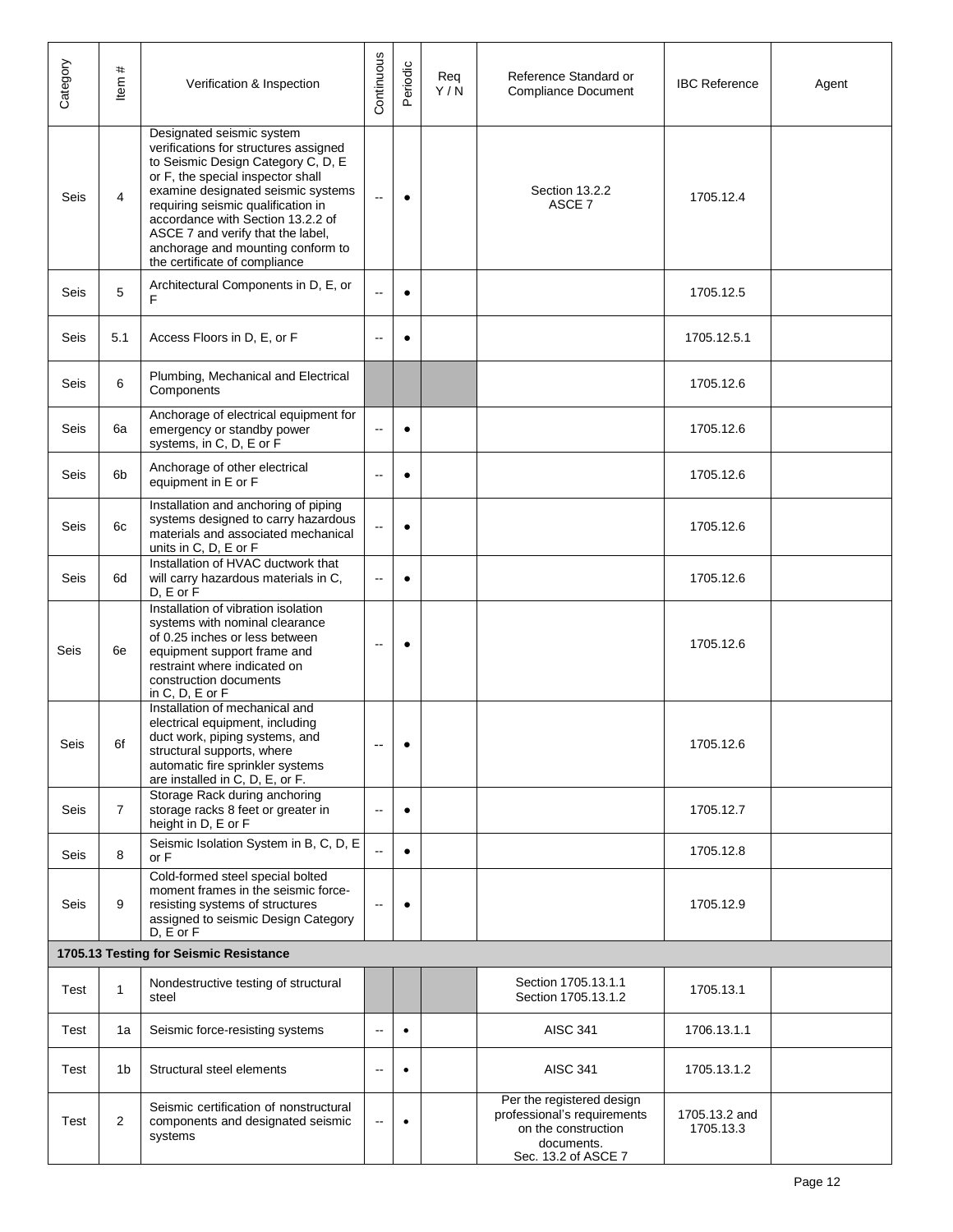| Category                               | #<br>ltem      | Verification & Inspection                                                                                                                                                                                                                                                                                                                                                 | Continuous               | Periodic  | Reg<br>Y/N | Reference Standard or<br><b>Compliance Document</b>                                                                  | <b>IBC Reference</b>       | Agent |
|----------------------------------------|----------------|---------------------------------------------------------------------------------------------------------------------------------------------------------------------------------------------------------------------------------------------------------------------------------------------------------------------------------------------------------------------------|--------------------------|-----------|------------|----------------------------------------------------------------------------------------------------------------------|----------------------------|-------|
| Seis                                   | 4              | Designated seismic system<br>verifications for structures assigned<br>to Seismic Design Category C, D, E<br>or F, the special inspector shall<br>examine designated seismic systems<br>requiring seismic qualification in<br>accordance with Section 13.2.2 of<br>ASCE 7 and verify that the label,<br>anchorage and mounting conform to<br>the certificate of compliance | $\sim$                   | $\bullet$ |            | Section 13.2.2<br>ASCE 7                                                                                             | 1705.12.4                  |       |
| Seis                                   | 5              | Architectural Components in D, E, or<br>F                                                                                                                                                                                                                                                                                                                                 |                          | $\bullet$ |            |                                                                                                                      | 1705.12.5                  |       |
| Seis                                   | 5.1            | Access Floors in D, E, or F                                                                                                                                                                                                                                                                                                                                               | $\sim$                   | $\bullet$ |            |                                                                                                                      | 1705.12.5.1                |       |
| Seis                                   | 6              | Plumbing, Mechanical and Electrical<br>Components                                                                                                                                                                                                                                                                                                                         |                          |           |            |                                                                                                                      | 1705.12.6                  |       |
| Seis                                   | 6a             | Anchorage of electrical equipment for<br>emergency or standby power<br>systems, in C, D, E or F                                                                                                                                                                                                                                                                           | $\sim$                   | $\bullet$ |            |                                                                                                                      | 1705.12.6                  |       |
| Seis                                   | 6 <sub>b</sub> | Anchorage of other electrical<br>equipment in E or F                                                                                                                                                                                                                                                                                                                      | $\overline{\phantom{a}}$ | $\bullet$ |            |                                                                                                                      | 1705.12.6                  |       |
| Seis                                   | 6c             | Installation and anchoring of piping<br>systems designed to carry hazardous<br>materials and associated mechanical<br>units in C, D, E or F                                                                                                                                                                                                                               | $\overline{\phantom{a}}$ | $\bullet$ |            |                                                                                                                      | 1705.12.6                  |       |
| Seis                                   | 6d             | Installation of HVAC ductwork that<br>will carry hazardous materials in C,<br>D, E or F                                                                                                                                                                                                                                                                                   | $\sim$                   | $\bullet$ |            |                                                                                                                      | 1705.12.6                  |       |
| Seis                                   | 6e             | Installation of vibration isolation<br>systems with nominal clearance<br>of 0.25 inches or less between<br>equipment support frame and<br>restraint where indicated on<br>construction documents<br>in $C, D, E$ or $F$                                                                                                                                                   | $\overline{a}$           | $\bullet$ |            |                                                                                                                      | 1705.12.6                  |       |
| Seis                                   | 6f             | Installation of mechanical and<br>electrical equipment, including<br>duct work, piping systems, and<br>structural supports, where<br>automatic fire sprinkler systems<br>are installed in C, D, E, or F.                                                                                                                                                                  | --                       | $\bullet$ |            |                                                                                                                      | 1705.12.6                  |       |
| Seis                                   | $\overline{7}$ | Storage Rack during anchoring<br>storage racks 8 feet or greater in<br>height in D, E or F                                                                                                                                                                                                                                                                                | $\sim$                   | $\bullet$ |            |                                                                                                                      | 1705.12.7                  |       |
| Seis                                   | 8              | Seismic Isolation System in B, C, D, E<br>or F                                                                                                                                                                                                                                                                                                                            |                          | $\bullet$ |            |                                                                                                                      | 1705.12.8                  |       |
| Seis                                   | 9              | Cold-formed steel special bolted<br>moment frames in the seismic force-<br>resisting systems of structures<br>assigned to seismic Design Category<br>$D. E$ or $F$                                                                                                                                                                                                        | $\sim$                   | $\bullet$ |            |                                                                                                                      | 1705.12.9                  |       |
| 1705.13 Testing for Seismic Resistance |                |                                                                                                                                                                                                                                                                                                                                                                           |                          |           |            |                                                                                                                      |                            |       |
| Test                                   | 1              | Nondestructive testing of structural<br>steel                                                                                                                                                                                                                                                                                                                             |                          |           |            | Section 1705.13.1.1<br>Section 1705.13.1.2                                                                           | 1705.13.1                  |       |
| Test                                   | 1a             | Seismic force-resisting systems                                                                                                                                                                                                                                                                                                                                           | --                       | $\bullet$ |            | <b>AISC 341</b>                                                                                                      | 1706.13.1.1                |       |
| Test                                   | 1 <sub>b</sub> | Structural steel elements                                                                                                                                                                                                                                                                                                                                                 | $\sim$                   | $\bullet$ |            | <b>AISC 341</b>                                                                                                      | 1705.13.1.2                |       |
| Test                                   | $\overline{2}$ | Seismic certification of nonstructural<br>components and designated seismic<br>systems                                                                                                                                                                                                                                                                                    | --                       | $\bullet$ |            | Per the registered design<br>professional's requirements<br>on the construction<br>documents.<br>Sec. 13.2 of ASCE 7 | 1705.13.2 and<br>1705.13.3 |       |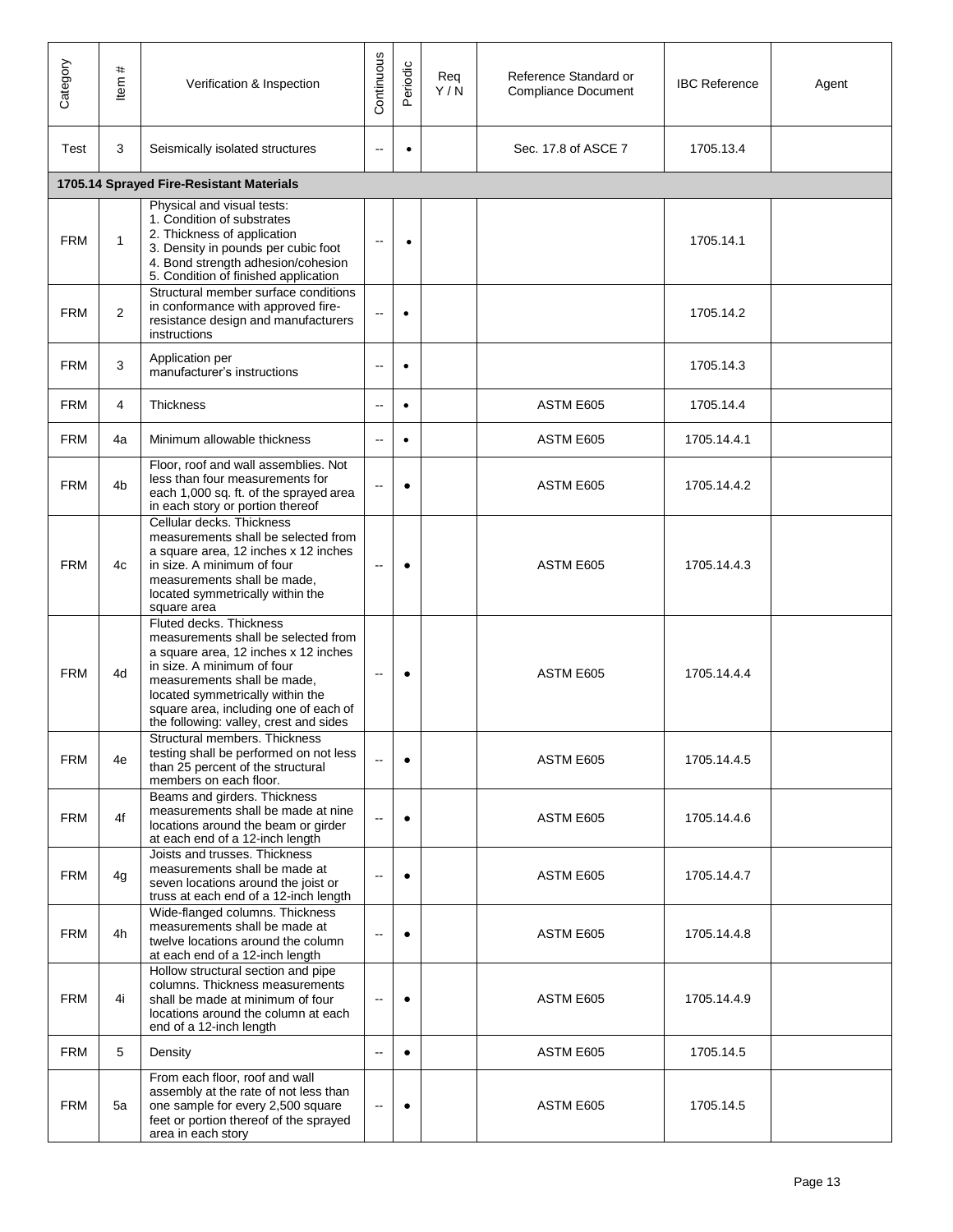| Category   | $\pmb{\ast}$<br>tem | Verification & Inspection                                                                                                                                                                                                                                                                  | Continuous                   | Periodic  | Req<br>Y/N | Reference Standard or<br><b>Compliance Document</b> | <b>IBC Reference</b> | Agent |
|------------|---------------------|--------------------------------------------------------------------------------------------------------------------------------------------------------------------------------------------------------------------------------------------------------------------------------------------|------------------------------|-----------|------------|-----------------------------------------------------|----------------------|-------|
| Test       | 3                   | Seismically isolated structures                                                                                                                                                                                                                                                            | $\overline{\phantom{a}}$     | $\bullet$ |            | Sec. 17.8 of ASCE 7                                 | 1705.13.4            |       |
|            |                     | 1705.14 Sprayed Fire-Resistant Materials                                                                                                                                                                                                                                                   |                              |           |            |                                                     |                      |       |
| <b>FRM</b> | $\mathbf{1}$        | Physical and visual tests:<br>1. Condition of substrates<br>2. Thickness of application<br>3. Density in pounds per cubic foot<br>4. Bond strength adhesion/cohesion<br>5. Condition of finished application                                                                               | $\overline{\phantom{a}}$     | $\bullet$ |            |                                                     | 1705.14.1            |       |
| <b>FRM</b> | $\overline{2}$      | Structural member surface conditions<br>in conformance with approved fire-<br>resistance design and manufacturers<br>instructions                                                                                                                                                          | $\overline{a}$               | $\bullet$ |            |                                                     | 1705.14.2            |       |
| <b>FRM</b> | 3                   | Application per<br>manufacturer's instructions                                                                                                                                                                                                                                             | --                           | $\bullet$ |            |                                                     | 1705.14.3            |       |
| <b>FRM</b> | 4                   | <b>Thickness</b>                                                                                                                                                                                                                                                                           | $\sim$                       | $\bullet$ |            | ASTM E605                                           | 1705.14.4            |       |
| <b>FRM</b> | 4a                  | Minimum allowable thickness                                                                                                                                                                                                                                                                | $\overline{a}$               | $\bullet$ |            | ASTM E605                                           | 1705.14.4.1          |       |
| <b>FRM</b> | 4 <sub>b</sub>      | Floor, roof and wall assemblies. Not<br>less than four measurements for<br>each 1,000 sq. ft. of the sprayed area<br>in each story or portion thereof                                                                                                                                      | $\overline{\phantom{a}}$     | $\bullet$ |            | ASTM E605                                           | 1705.14.4.2          |       |
| <b>FRM</b> | 4c                  | Cellular decks. Thickness<br>measurements shall be selected from<br>a square area, 12 inches x 12 inches<br>in size. A minimum of four<br>measurements shall be made,<br>located symmetrically within the<br>square area                                                                   | $\overline{a}$               | $\bullet$ |            | ASTM E605                                           | 1705.14.4.3          |       |
| <b>FRM</b> | 4d                  | Fluted decks. Thickness<br>measurements shall be selected from<br>a square area, 12 inches x 12 inches<br>in size. A minimum of four<br>measurements shall be made,<br>located symmetrically within the<br>square area, including one of each of<br>the following: valley, crest and sides | $\overline{a}$               | $\bullet$ |            | ASTM E605                                           | 1705.14.4.4          |       |
| <b>FRM</b> | 4e                  | Structural members. Thickness<br>testing shall be performed on not less<br>than 25 percent of the structural<br>members on each floor.                                                                                                                                                     | $\sim$                       | $\bullet$ |            | ASTM E605                                           | 1705.14.4.5          |       |
| <b>FRM</b> | 4f                  | Beams and girders. Thickness<br>measurements shall be made at nine<br>locations around the beam or girder<br>at each end of a 12-inch length                                                                                                                                               | $\overline{\phantom{a}}$     | $\bullet$ |            | ASTM E605                                           | 1705.14.4.6          |       |
| <b>FRM</b> | 4 <sub>q</sub>      | Joists and trusses. Thickness<br>measurements shall be made at<br>seven locations around the joist or<br>truss at each end of a 12-inch length                                                                                                                                             | $\sim$                       | $\bullet$ |            | ASTM E605                                           | 1705.14.4.7          |       |
| <b>FRM</b> | 4h                  | Wide-flanged columns. Thickness<br>measurements shall be made at<br>twelve locations around the column<br>at each end of a 12-inch length                                                                                                                                                  |                              |           |            | ASTM E605                                           | 1705.14.4.8          |       |
| <b>FRM</b> | 4i                  | Hollow structural section and pipe<br>columns. Thickness measurements<br>shall be made at minimum of four<br>locations around the column at each<br>end of a 12-inch length                                                                                                                | $\overline{\phantom{a}}$     | $\bullet$ |            | ASTM E605                                           | 1705.14.4.9          |       |
| <b>FRM</b> | 5                   | Density                                                                                                                                                                                                                                                                                    | $\sim$                       | $\bullet$ |            | ASTM E605                                           | 1705.14.5            |       |
| <b>FRM</b> | 5a                  | From each floor, roof and wall<br>assembly at the rate of not less than<br>one sample for every 2,500 square<br>feet or portion thereof of the sprayed<br>area in each story                                                                                                               | $\qquad \qquad \blacksquare$ | $\bullet$ |            | ASTM E605                                           | 1705.14.5            |       |